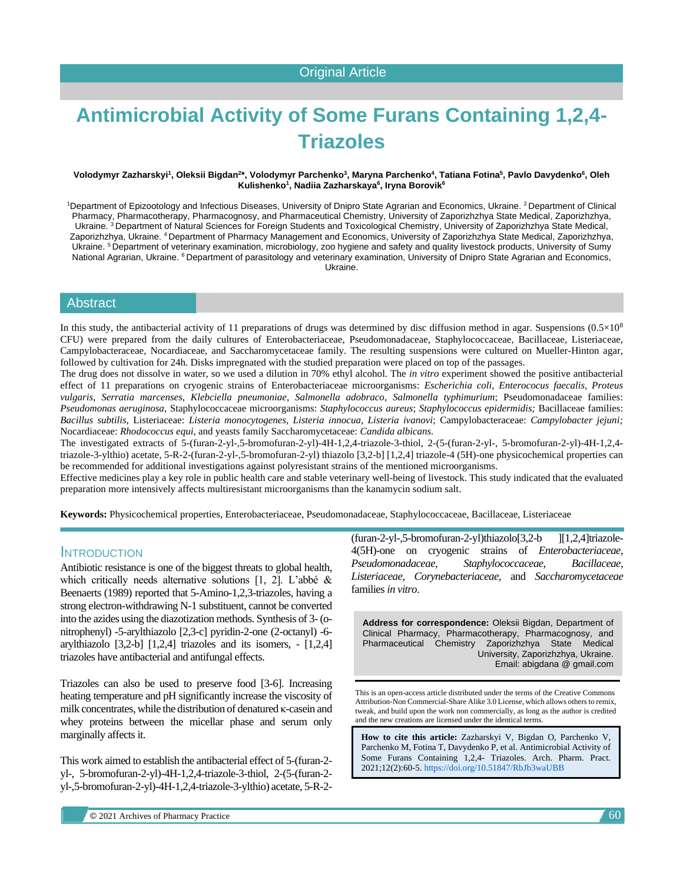# **Antimicrobial Activity of Some Furans Containing 1,2,4- Triazoles**

#### Volodymyr Zazharskyi<sup>1</sup>, Oleksii Bigdan<sup>2</sup>\*, Volodymyr Parchenko<sup>3</sup>, Maryna Parchenko<sup>4</sup>, Tatiana Fotina<sup>5</sup>, Pavlo Davydenko<sup>6</sup>, Oleh **Kulishenko<sup>1</sup> , Nadiia Zazharskaya<sup>6</sup> , Iryna Borovik<sup>6</sup>**

<sup>1</sup>Department of Epizootology and Infectious Diseases, University of Dnipro State Agrarian and Economics, Ukraine. <sup>2</sup> Department of Clinical Pharmacy, Pharmacotherapy, Pharmacognosy, and Pharmaceutical Chemistry, University of Zaporizhzhya State Medical, Zaporizhzhya, Ukraine. <sup>3</sup> Department of Natural Sciences for Foreign Students and Toxicological Chemistry, University of Zaporizhzhya State Medical, Zaporizhzhya, Ukraine. <sup>4</sup>Department of Pharmacy Management and Economics, University of Zaporizhzhya State Medical, Zaporizhzhya, Ukraine. <sup>5</sup>Department of veterinary examination, microbiology, zoo hygiene and safety and quality livestock products, University of Sumy National Agrarian, Ukraine. <sup>6</sup> Department of parasitology and veterinary examination, University of Dnipro State Agrarian and Economics, Ukraine.

#### Abstract

In this study, the antibacterial activity of 11 preparations of drugs was determined by disc diffusion method in agar. Suspensions  $(0.5\times10^{8}$ CFU) were prepared from the daily cultures of Enterobacteriaceae, Pseudomonadaceae, Staphylococcaceae, Bacillaceae, Listeriaceae, Campylobacteraceae, Nocardiaceae, and Saccharomycetaceae family. The resulting suspensions were cultured on Mueller-Hinton agar, followed by cultivation for 24h. Disks impregnated with the studied preparation were placed on top of the passages.

The drug does not dissolve in water, so we used a dilution in 70% ethyl alcohol. The *in vitro* experiment showed the positive antibacterial effect of 11 preparations on cryogenic strains of Enterobacteriaceae microorganisms: *Escherichia coli*, *Enterococus faecalis*, *Proteus vulgaris*, *Serratia marcenses*, *Klebciella pneumoniae*, *Salmonella adobraco*, *Salmonella typhimurium*; Pseudomonadaceae families: *Pseudomonas aeruginosa*, [Staphylococcaceae](https://uk.wikipedia.org/w/index.php?title=Staphylococcaceae&action=edit&redlink=1) microorganisms: *Staphylococcus aureus*; *Staphylococcus epidermidis;* [Bacillaceae](https://uk.wikipedia.org/w/index.php?title=Bacillaceae&action=edit&redlink=1) families: *Bacillus subtilis*, [Listeriaceae:](https://uk.wikipedia.org/w/index.php?title=Listeriaceae&action=edit&redlink=1) *Listeria monocytogenes, Listeria іnnocua*, *Listeria ivanovi*; Campylobacteraceae: *Campylobacter jejuni;*  Nocardiaceae: *Rhodococcus equi*, and yeasts family Saccharomycetaceae: *Candida albicans.*

The investigated extracts of 5-(furan-2-yl-,5-bromofuran-2-yl)-4H-1,2,4-triazole-3-thiol, 2-(5-(furan-2-yl-, 5-bromofuran-2-yl)-4H-1,2,4 triazole-3-ylthio) acetate, 5-R-2-(furan-2-yl-,5-bromofuran-2-yl) thiazolo [3,2-b] [1,2,4] triazole-4 (5H)-one physicochemical properties can be recommended for additional investigations against polyresistant strains of the mentioned microorganisms.

Effective medicines play a key role in public health care and stable veterinary well-being of livestock. This study indicated that the evaluated preparation more intensively affects multiresistant microorganisms than the kanamycin sodium salt.

**Keywords:** Physicochemical properties, Enterobacteriaceae, Pseudomonadaceae, Staphylococcaceae, Bacillaceae, Listeriaceae

#### **INTRODUCTION**

Antibiotic resistance is one of the biggest threats to global health, which critically needs alternative solutions [1, 2]. L'abbé & Beenaerts (1989) reported that 5-Amino-1,2,3-triazoles, having a strong electron-withdrawing N-1 substituent, cannot be converted into the azides using the diazotization methods. Synthesis of 3-(onitrophenyl) -5-arylthiazolo [2,3-c] pyridin-2-one (2-octanyl) -6 arylthiazolo  $[3,2-b]$   $[1,2,4]$  triazoles and its isomers,  $-[1,2,4]$ triazoles have antibacterial and antifungal effects.

Triazoles can also be used to preserve food [3-6]. Increasing heating temperature and pH significantly increase the viscosity of milk concentrates, while the distribution of denatured κ-casein and whey proteins between the micellar phase and serum only marginally affects it.

This work aimed to establish the antibacterial effect of 5-(furan-2 yl-, 5-bromofuran-2-yl)-4H-1,2,4-triazole-3-thiol, 2-(5-(furan-2 yl-,5-bromofuran-2-yl)-4H-1,2,4-triazole-3-ylthio) acetate, 5-R-2 $(furan-2-yl-, 5-bromofuran-2-yl)thiazolo[3,2-b] [1,2,4]triazole-$ 4(5H)-one on cryogenic strains of *Enterobacteriaceae, Pseudomonadaceae, Staphylococcaceae, Bacillaceae, Listeriaceae, Corynebacteriaceae,* and *Saccharomycetaceae* families*in vitro*.

**Address for correspondence:** Oleksii Bigdan, Department of Clinical Pharmacy, Pharmacotherapy, Pharmacognosy, and Pharmaceutical Chemistry Zaporizhzhya State Medical University, Zaporizhzhya, Ukraine. Email: abigdana @ gmail.com

This is an open-access article distributed under the terms of the Creative Commons Attribution-Non Commercial-Share Alike 3.0 License, which allows others to remix, tweak, and build upon the work non commercially, as long as the author is credited and the new creations are licensed under the identical terms.

**How to cite this article:** Zazharskyi V, Bigdan O, Parchenko V, Parchenko M, Fotina T, Davydenko P, et al. Antimicrobial Activity of Some Furans Containing 1,2,4- Triazoles. Arch. Pharm. Pract. 2021;12(2):60-5. <https://doi.org/10.51847/RbJb3waUBB>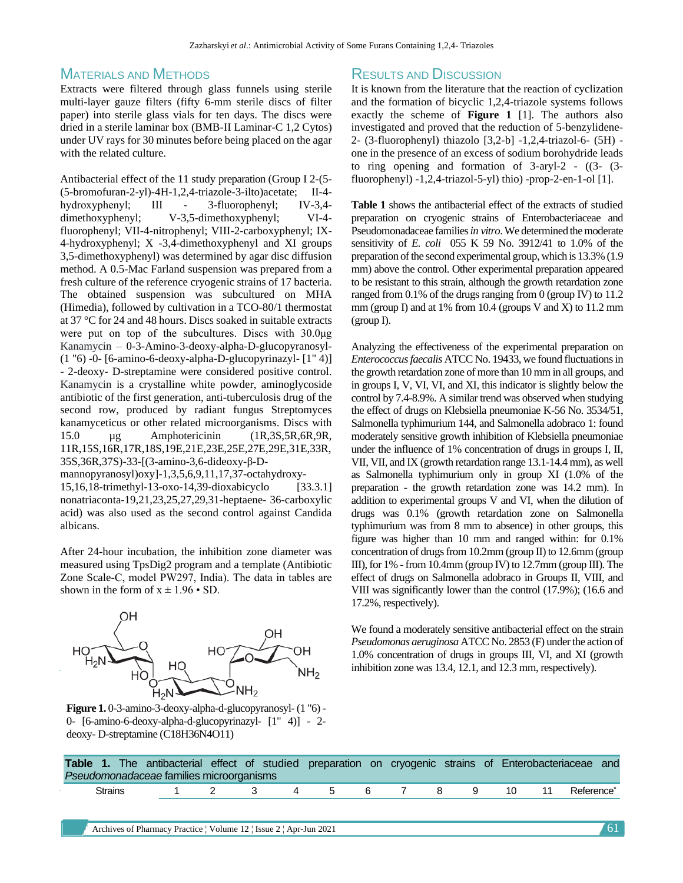### MATERIALS AND METHODS

Extracts were filtered through glass funnels using sterile multi-layer gauze filters (fifty 6-mm sterile discs of filter paper) into sterile glass vials for ten days. The discs were dried in a sterile laminar box (BMB-II Laminar-C 1,2 Cytos) under UV rays for 30 minutes before being placed on the agar with the related culture.

Antibacterial effect of the 11 study preparation (Group I 2-(5- (5-bromofuran-2-yl)-4H-1,2,4-triazole-3-ilto)acetate; II-4 hydroxyphenyl; III - 3-fluorophenyl; IV-3,4dimethoxyphenyl; V-3,5-dimethoxyphenyl; VI-4 fluorophenyl; VII-4-nitrophenyl; VIII-2-carboxyphenyl; IX-4-hydroxyphenyl; X -3,4-dimethoxyphenyl and XI groups 3,5-dimethoxyphenyl) was determined by agar disc diffusion method. A 0.5-Mac Farland suspension was prepared from a fresh culture of the reference cryogenic strains of 17 bacteria. The obtained suspension was subcultured on MHA (Himedia), followed by cultivation in a TCO-80/1 thermostat at 37 °C for 24 and 48 hours. Discs soaked in suitable extracts were put on top of the subcultures. Discs with 30.0μg Kanamycin – 0-3-Amino-3-deoxy-alpha-D-glucopyranosyl- (1 "6) -0- [6-amino-6-deoxy-alpha-D-glucopyrinazyl- [1" 4)] - 2-deoxy- D-streptamine were considered positive control. Kanamycin is a crystalline white powder, aminoglycoside antibiotic of the first generation, anti-tuberculosis drug of the second row, produced by radiant fungus Streptomyces kanamyceticus or other related microorganisms. Discs with 15.0 µg Amphotericinin (1R,3S,5R,6R,9R, 11R,15S,16R,17R,18S,19E,21E,23E,25E,27E,29E,31E,33R, 35S,36R,37S)-33-[(3-amino-3,6-dideoxy-β-Dmannopyranosyl)oxy]-1,3,5,6,9,11,17,37-octahydroxy-

15,16,18-trimethyl-13-oxo-14,39-dioxabicyclo [33.3.1] nonatriaconta-19,21,23,25,27,29,31-heptaene- 36-carboxylic acid) was also used as the second control against Candida albicans.

After 24-hour incubation, the inhibition zone diameter was measured using TpsDig2 program and a template (Antibiotic Zone Scale-C, model РW297, India). The data in tables are shown in the form of  $x \pm 1.96 \cdot SD$ .



**Figure 1.** 0-3-amino-3-deoxy-alpha-d-glucopyranosyl-(1 "6) - 0- [6-amino-6-deoxy-alpha-d-glucopyrinazyl- [1" 4)] - 2 deoxy- D-streptamine (C18H36N4O11)

### RESULTS AND DISCUSSION

It is known from the literature that the reaction of cyclization and the formation of bicyclic 1,2,4-triazole systems follows exactly the scheme of **Figure 1** [1]. The authors also investigated and proved that the reduction of 5-benzylidene-2- (3-fluorophenyl) thiazolo [3,2-b] -1,2,4-triazol-6- (5H) one in the presence of an excess of sodium borohydride leads to ring opening and formation of 3-aryl-2 - ((3- (3 fluorophenyl) -1,2,4-triazol-5-yl) thio) -prop-2-en-1-ol [1].

**Table 1** shows the antibacterial effect of the extracts of studied preparation on cryogenic strains of Enterobacteriaceae and Pseudomonadaceae families *in vitro*.We determined the moderate sensitivity of *E. coli* 055 K 59 No. 3912/41 to 1.0% of the preparation of the second experimental group, which is 13.3% (1.9 mm) above the control. Other experimental preparation appeared to be resistant to this strain, although the growth retardation zone ranged from 0.1% of the drugs ranging from 0 (group IV) to 11.2 mm (group I) and at 1% from 10.4 (groups V and X) to 11.2 mm (group I).

Analyzing the effectiveness of the experimental preparation on *Enterococcus faecalis* ATCC No. 19433, we found fluctuations in the growth retardation zone of more than 10 mm in all groups, and in groups I, V, VI, VI, and XI, this indicator is slightly below the control by 7.4-8.9%. A similar trend was observed when studying the effect of drugs on Klebsiella pneumoniae K-56 No. 3534/51, Salmonella typhimurium 144, and Salmonella adobraco 1: found moderately sensitive growth inhibition of Klebsiella pneumoniae under the influence of 1% concentration of drugs in groups I, II, VII, VII, and IX (growth retardation range 13.1-14.4 mm), as well as Salmonella typhimurium only in group XI (1.0% of the preparation - the growth retardation zone was 14.2 mm). In addition to experimental groups V and VI, when the dilution of drugs was 0.1% (growth retardation zone on Salmonella typhimurium was from 8 mm to absence) in other groups, this figure was higher than 10 mm and ranged within: for 0.1% concentration of drugs from 10.2mm (group II) to 12.6mm (group III), for  $1\%$  -from 10.4mm (group IV) to  $12.7$ mm (group III). The effect of drugs on Salmonella adobraco in Groups II, VIII, and VIII was significantly lower than the control (17.9%); (16.6 and 17.2%, respectively).

We found a moderately sensitive antibacterial effect on the strain *Pseudomonas aeruginosa* ATCC No. 2853 (F) under the action of 1.0% concentration of drugs in groups III, VI, and XI (growth inhibition zone was 13.4, 12.1, and 12.3 mm, respectively).

| Table 1. The antibacterial effect of studied preparation on cryogenic strains of Enterobacteriaceae and<br>Pseudomonadaceae families microorganisms |             |  |               |  |  |                              |  |  |
|-----------------------------------------------------------------------------------------------------------------------------------------------------|-------------|--|---------------|--|--|------------------------------|--|--|
| Strains                                                                                                                                             | $1 \quad 2$ |  | 3 4 5 6 7 8 9 |  |  | 10 11 Reference <sup>®</sup> |  |  |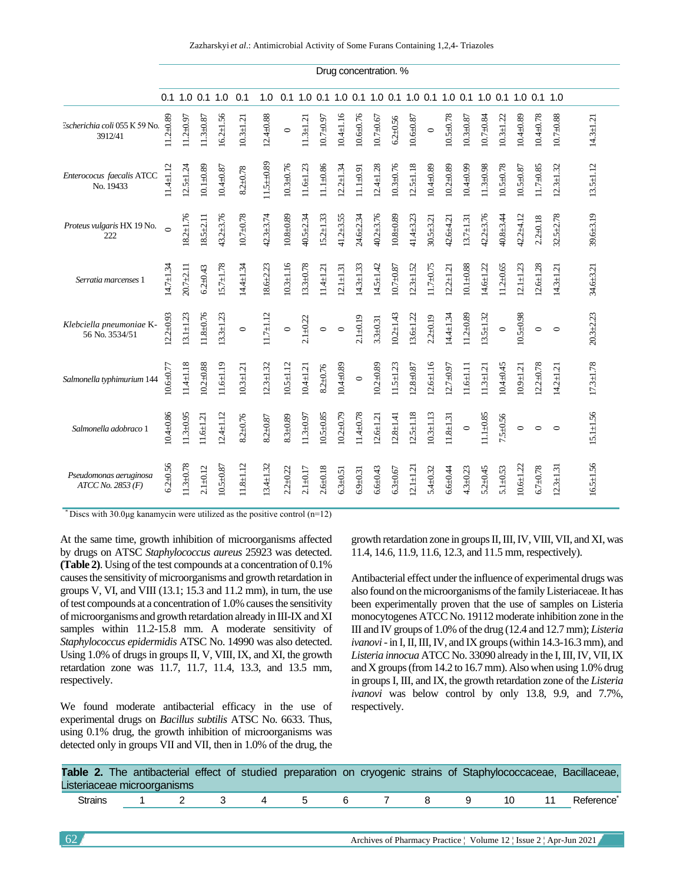|                                             |                 |                 |                 |                 |               |                 |                 |                 |                 |                 | Drug concentration. % |                 |                 |                 |                                                                 |                 |                 |                 |                 |                 |               |                 |                 |  |
|---------------------------------------------|-----------------|-----------------|-----------------|-----------------|---------------|-----------------|-----------------|-----------------|-----------------|-----------------|-----------------------|-----------------|-----------------|-----------------|-----------------------------------------------------------------|-----------------|-----------------|-----------------|-----------------|-----------------|---------------|-----------------|-----------------|--|
|                                             |                 | 0.1 1.0 0.1 1.0 |                 |                 | 0.1           | 1.0             |                 |                 |                 |                 |                       |                 |                 |                 | 0.1 1.0 0.1 1.0 0.1 1.0 0.1 1.0 0.1 1.0 0.1 1.0 0.1 1.0 0.1 1.0 |                 |                 |                 |                 |                 |               |                 |                 |  |
| Escherichia coli 055 K 59 No.<br>3912/41    | $11.2 \pm 0.89$ | $11.2 + 0.97$   | $11.3 \pm 0.87$ | $16.2 \pm 1.56$ | $10.3 + 1.21$ | $12.4 \pm 0.88$ | $\circ$         | $11.3 \pm 1.21$ | $10.7 + 0.97$   | $10.4 \pm 1.16$ | $10.6 + 0.76$         | $10.7 + 0.67$   | $6.2 + 0.56$    | $10.6 + 0.87$   | $\circ$                                                         | $10.5 + 0.78$   | $10.3 + 0.87$   | $10.7 + 0.84$   | $10.3 \pm 1.22$ | $10.4 \pm 0.89$ | $10.4 + 0.78$ | $10.7 + 0.88$   | $14.3 \pm 1.2$  |  |
| Enterococus faecalis ATCC<br>No. 19433      | $11.4 \pm 1.12$ | $12.5 \pm 1.24$ | $10.1 + 0.89$   | $10.4 + 0.87$   | $8.2 + 0.78$  | $11.5 + 0.89$   | $10.3 + 0.76$   | $11.6 + 1.23$   | $11.1 + 0.86$   | $12.2 \pm 1.34$ | $11.1 + 0.91$         | $12.4 \pm 1.28$ | $10.3 + 0.76$   | $12.5 + 1.18$   | $10.4 + 0.89$                                                   | $10.2 + 0.89$   | $10.4 + 0.99$   | $11.3 + 0.98$   | $10.5 + 0.78$   | $10.5 + 0.87$   | $11.7 + 0.85$ | $12.3 \pm 1.32$ | $13.5 \pm 1.12$ |  |
| Proteus vulgaris HX 19 No.<br>222           | $\circ$         | $18.2 \pm 1.76$ | $18.5 + 2.11$   | $43.2 + 3.76$   | $10.7 + 0.78$ | $42.3 \pm 3.74$ | $10.8 + 0.89$   | $40.5 \pm 2.34$ | $15.2 \pm 1.33$ | $41.2 \pm 3.55$ | 24.6±2.34             | $40.2 + 3.76$   | $10.8 + 0.89$   | $41.4 \pm 3.23$ | $30.5 + 3.21$                                                   | 42.6±4.21       | $13.7 \pm 1.31$ | $42.2 + 3.76$   | $40.8 + 3.44$   | 42.2±4.12       | $2.2 + 0.18$  | $32.5 + 2.78$   | 39.6±3.19       |  |
| Serratia marcenses 1                        | $14.7 \pm 1.34$ | $20.7 + 2.11$   | $6.2 + 0.43$    | $15.7 \pm 1.78$ | 14.4±1.34     | $18.6 + 2.23$   | $10.3 + 1.16$   | $13.3 + 0.78$   | $11.4 \pm 1.21$ | $12.1 \pm 1.31$ | $14.3 \pm 1.33$       | $14.5 + 1.42$   | $10.7 + 0.87$   | $12.3 + 1.52$   | $11.7 + 0.75$                                                   | $12.2 \pm 1.21$ | $10.1 + 0.88$   | $14.6 \pm 1.22$ | $11.2 + 0.65$   | $12.1 \pm 1.23$ | $12.6 + 1.28$ | $14.3 \pm 1.21$ | 34.6±3.21       |  |
| Klebciella pneumoniae K-<br>56 No. 3534/51  | $12.2 + 0.93$   | $13.1 \pm 1.23$ | $11.8 + 0.76$   | $13.3 + 1.23$   | $\circ$       | $11.7 \pm 1.12$ | $\circ$         | $2.1 + 0.22$    | $\circ$         | $\circ$         | $2.1 + 0.19$          | $3.3 + 0.31$    | $10.2 + 1.43$   | $13.6 + 1.22$   | $2.2 + 0.19$                                                    | $14.4 \pm 1.34$ | $11.2 + 0.89$   | $13.5 \pm 1.32$ | $\circ$         | $10.5 + 0.98$   | $\circ$       | $\circ$         | $20.3 + 2.23$   |  |
| Salmonella typhimurium 144                  | $10.6 + 0.77$   | $11.4 + 1.18$   | $10.2 + 0.88$   | $11.6 \pm 1.19$ | $10.3 + 1.21$ | $12.3 \pm 1.32$ | $10.5 \pm 1.12$ | $10.4 + 1.21$   | $8.2 + 0.76$    | $10.4 + 0.89$   | $\circ$               | $10.2 + 0.89$   | $11.5 \pm 1.23$ | $12.8 + 0.87$   | $12.6 \pm 1.16$                                                 | $12.7 \pm 0.97$ | $11.6 \pm 1.11$ | $11.3 \pm 1.21$ | $10.4 + 0.45$   | $10.9 + 1.21$   | $12.2 + 0.78$ | $14.2 \pm 1.21$ | $17.3 \pm 1.78$ |  |
| Salmonella adobraco 1                       | $10.4 + 0.86$   | $11.3 + 0.95$   | $11.6 + 1.21$   | $12.4 \pm 1.12$ | $8.2 + 0.76$  | $8.2{\pm}0.87$  | $8.3 + 0.89$    | $11.3 + 0.97$   | $10.5 + 0.85$   | $10.2 + 0.79$   | 11.4±0.78             | $12.6 + 1.21$   | $12.8 + 1.41$   | $12.5 + 1.18$   | $10.3 + 1.13$                                                   | $11.8 + 1.31$   | $\circ$         | $11.1 + 0.85$   | $7.5 + 0.56$    | $\circ$         | $\circ$       | $\circ$         | $15.1 \pm 1.56$ |  |
| Pseudomonas aeruginosa<br>ATCC No. 2853 (F) | $6.2 + 0.56$    | $11.3 + 0.78$   | $2.1 + 0.12$    | $10.5 + 0.87$   | $11.8 + 1.12$ | $13.4 \pm 1.32$ | $2.2 + 0.22$    | $2.1 + 0.17$    | $2.6 + 0.18$    | $6.3 + 0.51$    | $6.9 + 0.31$          | $6.6 + 0.43$    | $6.3 + 0.67$    | $12.1 \pm 1.21$ | $5.4 + 0.32$                                                    | $6.6 + 0.44$    | $4.3 + 0.23$    | $5.2 + 0.45$    | $5.1 + 0.53$    | $10.6 \pm 1.22$ | $6.7 + 0.78$  | $12.3 \pm 1.31$ | $16.5 \pm 1.56$ |  |

\* Discs with 30.0 $\mu$ g kanamycin were utilized as the positive control (n=12)

At the same time, growth inhibition of microorganisms affected by drugs on ATSC *Staphylococcus aureus* 25923 was detected. **(Table 2)**. Using of the test compounds at a concentration of 0.1% causes the sensitivity of microorganisms and growth retardation in groups V, VI, and VIII  $(13.1; 15.3 \text{ and } 11.2 \text{ mm})$ , in turn, the use of test compounds at a concentration of 1.0% causes the sensitivity of microorganisms and growth retardation already in III-IX and XI samples within 11.2-15.8 mm. A moderate sensitivity of *Staphylococcus epidermidis* ATSC No. 14990 was also detected. Using 1.0% of drugs in groups II, V, VIII, IX, and XI, the growth retardation zone was 11.7, 11.7, 11.4, 13.3, and 13.5 mm, respectively.

We found moderate antibacterial efficacy in the use of experimental drugs on *Bacillus subtilis* ATSC No. 6633. Thus, using 0.1% drug, the growth inhibition of microorganisms was detected only in groups VII and VII, then in 1.0% of the drug, the growth retardation zone in groups II, III, IV, VIII, VII, and XI, was 11.4, 14.6, 11.9, 11.6, 12.3, and 11.5 mm, respectively).

Antibacterial effect under the influence of experimental drugs was also found on the microorganisms of the family Listeriaceae. It has been experimentally proven that the use of samples on Listeria monocytogenes ATCC No. 19112 moderate inhibition zone in the III and IV groups of 1.0% of the drug (12.4 and 12.7 mm); *Listeria ivanovi*-in I, II, III, IV, and IX groups (within 14.3-16.3 mm), and *Listeria innocua* ATCC No. 33090 already in the I, III, IV, VII, IX and X groups (from 14.2 to 16.7 mm). Also when using 1.0% drug in groups I, III, and IX, the growth retardation zone of the *Listeria ivanovi* was below control by only 13.8, 9.9, and 7.7%, respectively.

|                |                             |                         |     |     |              |    |    |    | Table 2. The antibacterial effect of studied preparation on cryogenic strains of Staphylococcaceae, Bacillaceae, |
|----------------|-----------------------------|-------------------------|-----|-----|--------------|----|----|----|------------------------------------------------------------------------------------------------------------------|
|                | Listeriaceae microorganisms |                         |     |     |              |    |    |    |                                                                                                                  |
| <b>Strains</b> | $1 \t 2$                    | $\overline{\mathbf{3}}$ | 4 5 | 6 7 | $\mathbf{R}$ | -9 | 10 | 11 | Reference <sup>*</sup>                                                                                           |
|                |                             |                         |     |     |              |    |    |    |                                                                                                                  |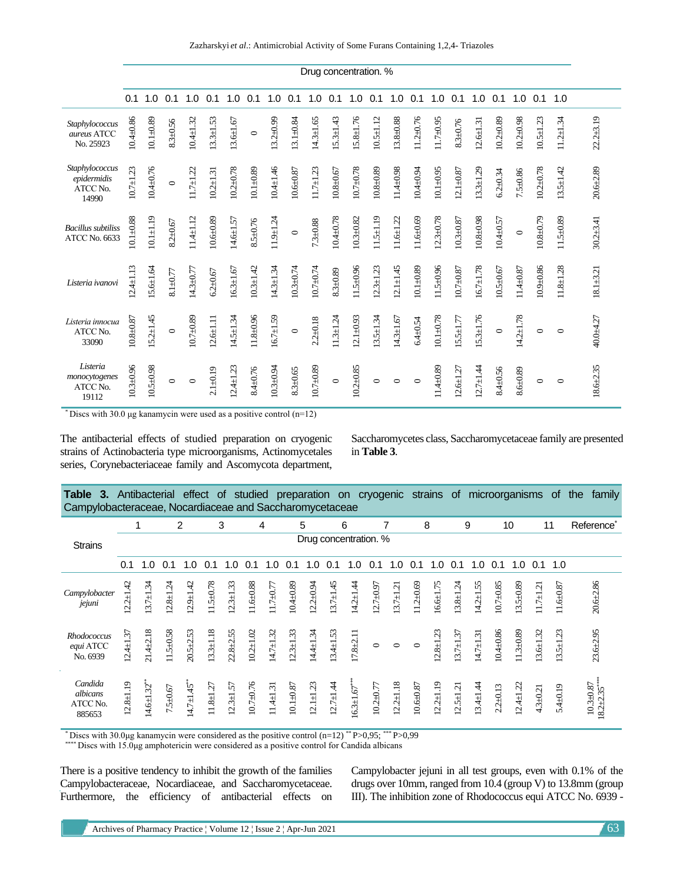Zazharskyi *et al*.: Antimicrobial Activity of Some Furans Containing 1,2,4- Triazoles

|                                                    |                 |                 |              |                 |                 |                 |               |                 |                 |                 |                 | Drug concentration. % |                 |                 |                 |                 |                 |                 |               |                 |                 |                 |               |
|----------------------------------------------------|-----------------|-----------------|--------------|-----------------|-----------------|-----------------|---------------|-----------------|-----------------|-----------------|-----------------|-----------------------|-----------------|-----------------|-----------------|-----------------|-----------------|-----------------|---------------|-----------------|-----------------|-----------------|---------------|
|                                                    | 0.1             | 1.0             | 0.1          | 1.0             | 0.1             | 1.0             | 0.1           | 1.0             | 0.1             | 1.0             | 0.1             | 1.0                   | 0.1             | 1.0             | 0.1             | 1.0             | 0.1             | 1.0             | 0.1           | 1.0             | 0.1             | 1.0             |               |
| Staphylococcus<br>aureus ATCC<br>No. 25923         | $10.4 \pm 0.86$ | $10.1 + 0.89$   | $8.3 + 0.56$ | $10.4 + 1.32$   | $13.3 \pm 1.53$ | $13.6 \pm 1.67$ | $\circ$       | $13.2 + 0.99$   | $13.1 \pm 0.84$ | $14.3 \pm 1.65$ | $15.3 + 1.43$   | $15.8 \pm 1.76$       | $10.5 \pm 1.12$ | $13.8 + 0.88$   | $11.2 \pm 0.76$ | $11.7 + 0.95$   | $8.3 + 0.76$    | $12.6 + 1.31$   | $10.2 + 0.89$ | $10.2 + 0.98$   | $10.5 \pm 1.23$ | $11.2 \pm 1.34$ | $22.2 + 3.19$ |
| Staphylococcus<br>epidermidis<br>ATCC No.<br>14990 | $10.7 + 1.23$   | 10.4±0.76       | $\circ$      | $1.7 + 1.22$    | $10.2 + 1.31$   | $10.2 + 0.78$   | $10.1 + 0.89$ | $10.4 \pm 1.46$ | $10.6 + 0.87$   | $11.7 + 1.23$   | $10.8 + 0.67$   | $10.7 + 0.78$         | $10.8 + 0.89$   | 11.4±0.98       | $10.4 + 0.94$   | $10.1 + 0.95$   | $12.1 \pm 0.87$ | $13.3 \pm 1.29$ | $6.2 + 0.34$  | $7.5 + 0.86$    | $10.2 + 0.78$   | $13.5 \pm 1.42$ | $20.6 + 2.89$ |
| <b>Bacillus</b> subtiliss<br>ATCC No. 6633         | $10.1 + 0.88$   | $10.1 + 1.19$   | $8.2 + 0.67$ | $11.4 \pm 1.12$ | $10.6 + 0.89$   | $14.6 \pm 1.57$ | $8.5 + 0.76$  | $11.9 \pm 1.24$ | $\circ$         | $7.3 + 0.88$    | $10.4 + 0.78$   | $10.3 + 0.82$         | $11.5 \pm 1.19$ | $11.6 \pm 1.22$ | $11.6 + 0.69$   | $12.3 + 0.78$   | $10.3 + 0.87$   | $10.8 + 0.98$   | $10.4 + 0.57$ | $\circ$         | $10.8 + 0.79$   | $11.5 \pm 0.89$ | $30.2 + 3.41$ |
| Listeria ivanovi                                   | $12.4 \pm 1.13$ | $15.6 \pm 1.64$ | $8.1 + 0.77$ | $14.3 \pm 0.77$ | $6.2 + 0.67$    | $16.3 \pm 1.67$ | $10.3 + 1.42$ | $14.3 \pm 1.34$ | $10.3 + 0.74$   | $10.7 + 0.74$   | $8.3 + 0.89$    | $11.5 \pm 0.96$       | $12.3 \pm 1.23$ | $12.1 + 1.45$   | $10.1 + 0.89$   | $11.5 \pm 0.96$ | $10.7 + 0.87$   | $16.7 \pm 1.78$ | $10.5 + 0.67$ | $11.4 \pm 0.87$ | $10.9 + 0.86$   | $11.8 \pm 1.28$ | $18.1 + 3.21$ |
| Listeria innocua<br>ATCC No.<br>33090              | $10.8 + 0.87$   | $15.2 \pm 1.45$ | $\circ$      | $10.7 + 0.89$   | $12.6 \pm 1.11$ | $14.5 \pm 1.34$ | $11.8 + 0.96$ | $16.7 + 1.59$   | $\circ$         | $2.2 + 0.18$    | $11.3 \pm 1.24$ | $12.1 + 0.93$         | $13.5 \pm 1.34$ | $14.3 \pm 1.67$ | $6.4 \pm 0.54$  | $10.1 + 0.78$   | $15.5 \pm 1.77$ | $15.3 \pm 1.76$ | $\circ$       | $14.2 + 1.78$   | $\circ$         | $\circ$         | 40.0±4.27     |
| Listeria<br>monocytogenes<br>ATCC No.<br>19112     | $10.3 + 0.96$   | $10.5 + 0.98$   | $\circ$      | $\circ$         | $2.1 + 0.19$    | $12.4 + 1.23$   | $8.4 + 0.76$  | $10.3 + 0.94$   | $8.3 + 0.65$    | $10.7 + 0.89$   | $\circ$         | $10.2 + 0.85$         | $\circ$         | $\circ$         | $\circ$         | $11.4 + 0.89$   | $12.6 \pm 1.27$ | $12.7 \pm 1.44$ | $8.4 + 0.56$  | $8.6 + 0.89$    | $\circ$         | $\circ$         | $18.6 + 2.35$ |

\* Discs with  $30.0 \mu$ g kanamycin were used as a positive control (n=12)

The antibacterial effects of studied preparation on cryogenic strains of Actinobacteria type microorganisms, Actinomycetales series, Corynebacteriaceae family and Ascomycota department,

Saccharomycetes class, Saccharomycetaceae family are presented in **Table 3**.

| Table<br>Campylobacteraceae, Nocardiaceae and Saccharomycetaceae |              | <b>3.</b> Antibacterial effect of |                         |                |                 |               |                 |                 |                 |                 |                 | studied preparation on cryogenic strains of |               |                 |                         |                 |                 | microorganisms  |               |                 |                 | of             | the<br>family                               |
|------------------------------------------------------------------|--------------|-----------------------------------|-------------------------|----------------|-----------------|---------------|-----------------|-----------------|-----------------|-----------------|-----------------|---------------------------------------------|---------------|-----------------|-------------------------|-----------------|-----------------|-----------------|---------------|-----------------|-----------------|----------------|---------------------------------------------|
|                                                                  |              |                                   |                         | $\overline{2}$ |                 | 3             |                 | 4               |                 | 5               |                 | 6                                           |               | 7               |                         | 8               |                 | 9               |               | 10              |                 | 11             | Reference <sup>*</sup>                      |
| <b>Strains</b>                                                   |              |                                   |                         |                |                 |               |                 |                 |                 |                 |                 | Drug concentration. %                       |               |                 |                         |                 |                 |                 |               |                 |                 |                |                                             |
|                                                                  | 0.1          | 1.0                               | 0.1                     | 1.0            | 0.1             | 1.0           | 0.1             | 1.0             | 0.1             | 1.0             | 0.1             | 1.0                                         | 0.1           | 1. $\Omega$     | 0.1                     | 1.0             | 0.1             | 1.0             | 0.1           | 1.0             | 0.1             | 1.0            |                                             |
| Campylobacter<br>jejuni                                          | $2.2 + 1.42$ | $3.7 + 1.34$                      | $2.8 + 1.24$            | $2.9 + 1.42$   | $1.5 + 0.78$    | $2.3 + 1.33$  | $11.6 \pm 0.88$ | $1.7 + 0.77$    | $10.4 + 0.89$   | $12.2 + 0.94$   | $3.7 + 1.45$    | $(4.2 + 1.44)$                              | $12.7 + 0.97$ | $13.7 + 1.21$   | $1.2 + 0.69$            | $16.6 + 1.75$   | $13.8 + 1.24$   | $14.2 \pm 1.55$ | $10.7 + 0.85$ | $13.5 + 0.89$   | $11.7 \pm 1.21$ | $1.6 \pm 0.87$ | $20.6 + 2.86$                               |
| <b>Rhodococcus</b><br>equi ATCC<br>No. 6939                      | $2.4 + 1.37$ | $21.4 + 2.18$                     | $1.5 + 0.58$            | $20.5 + 2.53$  | $3.3 + 1.18$    | $22.8 + 2.55$ | $10.2 + 1.02$   | $14.7 \pm 1.32$ | $12.3 \pm 1.33$ | $(4.4 + 1.34)$  | $3.4 \pm 1.53$  | $17.8 + 2.11$                               | $\circ$       | $\circ$         | $\circ$                 | $2.8 + 1.23$    | $13.7 + 1.37$   | $14.7 \pm 1.31$ | $0.4 + 0.86$  | $1.3 + 0.89$    | $3.6 \pm 1.32$  | $3.5 + 1.23$   | $23.6 + 2.95$                               |
| Candida<br>albicans<br>ATCC No.<br>885653                        | $2.8 + 1.19$ | $4.6 \pm 1.32$                    | $7.5 \underline{+}0.67$ | $4.7 \pm 1.45$ | $11.8 \pm 1.27$ | $2.3 + 1.57$  | $10.7 + 0.76$   | $11.4 \pm 1.31$ | $10.1 \pm 0.87$ | $12.1 \pm 1.23$ | $12.7 \pm 1.44$ | $6.3 + 1.67$                                | $10.2 + 0.77$ | $12.2 \pm 1.18$ | $10.6 \!\!\pm\!\! 0.87$ | $12.2 \pm 1.19$ | $12.5 \pm 1.21$ | $13.4 \pm 1.44$ | $2.2 + 0.13$  | $12.4 \pm 1.22$ | $4.3 \pm 0.21$  | $5.4 \pm 0.19$ | $10.3 + 0.87$<br>$8.2 + 2.35$<br>$8.2 + 2.$ |

\* Discs with 30.0μg kanamycin were considered as the positive control (n=12) \*\* P>0,95; \*\*\* P>0,99

\*\*\*\* Discs with 15.0μg amphotericin were considered as a positive control for Candida albicans

There is a positive tendency to inhibit the growth of the families Campylobacteraceae, Nocardiaceae, and Saccharomycetaceae. Furthermore, the efficiency of antibacterial effects on Campylobacter jejuni in all test groups, even with 0.1% of the drugs over 10mm, ranged from 10.4 (group V) to 13.8mm (group III). The inhibition zone of Rhodococcus equi ATCC No. 6939 -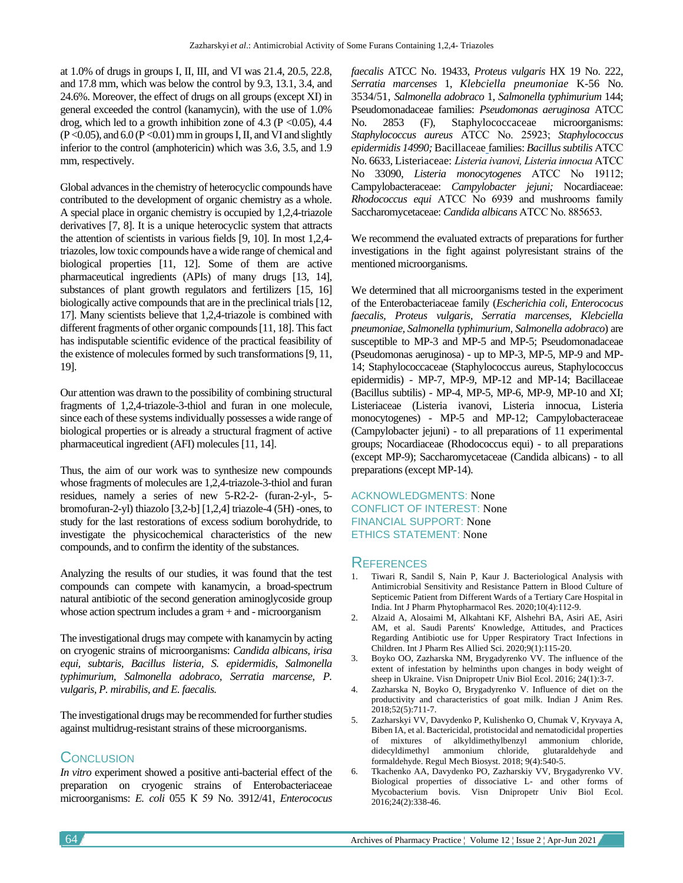at 1.0% of drugs in groups I, II, III, and VI was 21.4, 20.5, 22.8, and 17.8 mm, which was below the control by 9.3, 13.1, 3.4, and 24.6%. Moreover, the effect of drugs on all groups (except XI) in general exceeded the control (kanamycin), with the use of 1.0% drog, which led to a growth inhibition zone of 4.3 ( $P \le 0.05$ ), 4.4  $(P<0.05)$ , and  $6.0 (P<0.01)$  mm in groups I, II, and VI and slightly inferior to the control (amphotericin) which was 3.6, 3.5, and 1.9 mm, respectively.

Global advances in the chemistry of heterocyclic compounds have contributed to the development of organic chemistry as a whole. A special place in organic chemistry is occupied by 1,2,4-triazole derivatives [7, 8]. It is a unique heterocyclic system that attracts the attention of scientists in various fields [9, 10]. In most 1,2,4 triazoles, low toxic compounds have a wide range of chemical and biological properties [11, 12]. Some of them are active pharmaceutical ingredients (APIs) of many drugs [13, 14], substances of plant growth regulators and fertilizers [15, 16] biologically active compounds that are in the preclinical trials [12, 17]. Many scientists believe that 1,2,4-triazole is combined with different fragments of other organic compounds [11, 18]. This fact has indisputable scientific evidence of the practical feasibility of the existence of molecules formed by such transformations [9, 11, 19].

Our attention was drawn to the possibility of combining structural fragments of 1,2,4-triazole-3-thiol and furan in one molecule, since each of these systems individually possesses a wide range of biological properties or is already a structural fragment of active pharmaceutical ingredient (AFI) molecules [11, 14].

Thus, the aim of our work was to synthesize new compounds whose fragments of molecules are 1,2,4-triazole-3-thiol and furan residues, namely a series of new 5-R2-2- (furan-2-yl-, 5 bromofuran-2-yl) thiazolo [3,2-b] [1,2,4] triazole-4 (5H) -ones, to study for the last restorations of excess sodium borohydride, to investigate the physicochemical characteristics of the new compounds, and to confirm the identity of the substances.

Analyzing the results of our studies, it was found that the test compounds can compete with kanamycin, a broad-spectrum natural antibiotic of the second generation aminoglycoside group whose action spectrum includes a gram + and - microorganism

The investigational drugs may compete with kanamycin by acting on cryogenic strains of microorganisms: *Candida albicans, irisa equi, subtaris, Bacillus listeria, S. epidermidis, Salmonella typhimurium, Salmonella adobraco, Serratia marcense, P. vulgaris, P. mirabilis, and E. faecalis.*

The investigational drugs may be recommended for further studies against multidrug-resistant strains of these microorganisms.

# **CONCLUSION**

*In vitro* experiment showed a positive anti-bacterial effect of the preparation on cryogenic strains of Enterobacteriaceae microorganisms: *E. coli* 055 К 59 No. 3912/41, *Enterococus*  *faecalis* ATCC No. 19433, *Proteus vulgaris* HX 19 No. 222, *Serratia marcenses* 1, *Klebciella pneumoniae* K-56 No. 3534/51, *Salmonella adobraco* 1, *Salmonella typhimurium* 144; Pseudomonadaceae families: *Pseudomonas aeruginosa* ATCC No. 2853 (F), [Staphylococcaceae](https://uk.wikipedia.org/w/index.php?title=Staphylococcaceae&action=edit&redlink=1) microorganisms: *Staphylococcus aureus* АТСС No. 25923; *Staphylococcus epidermidis 14990;* [Bacillaceae](https://uk.wikipedia.org/w/index.php?title=Bacillaceae&action=edit&redlink=1) families: *Bacillus subtilis* АТСС No. 6633[, Listeriaceae:](https://uk.wikipedia.org/w/index.php?title=Listeriaceae&action=edit&redlink=1) *Listeria ivanovi, Listeria іnnocua* АТСС No 33090, *Listeria monocytogenes* АТСС No 19112; Campylobacteraceae: *Campylobacter jejuni;* Nocardiaceae: *Rhodococcus equi* АТСС No 6939 and mushrooms family Saccharomycetaceae: *Candida albicans* АТСС No. 885653*.*

We recommend the evaluated extracts of preparations for further investigations in the fight against polyresistant strains of the mentioned microorganisms.

We determined that all microorganisms tested in the experiment of the Enterobacteriaceae family (*Escherichia coli, Enterococus faecalis, Proteus vulgaris, Serratia marcenses, Klebciella pneumoniae, Salmonella typhimurium, Salmonella adobraco*) are susceptible to MP-3 and MP-5 and MP-5; Pseudomonadaceae (Pseudomonas aeruginosa) - up to MP-3, MP-5, MP-9 and MP-14; Staphylococcaceae (Staphylococcus aureus, Staphylococcus epidermidis) - MP-7, MP-9, MP-12 and MP-14; Bacillaceae (Bacillus subtilis) - MP-4, MP-5, MP-6, MP-9, MP-10 and XI; Listeriaceae (Listeria ivanovi, Listeria innocua, Listeria monocytogenes) - MP-5 and MP-12; Campylobacteraceae (Campylobacter jejuni) - to all preparations of 11 experimental groups; Nocardiaceae (Rhodococcus equi) - to all preparations (except MP-9); Saccharomycetaceae (Candida albicans) - to all preparations (except MP-14).

ACKNOWLEDGMENTS: None CONFLICT OF INTEREST: None FINANCIAL SUPPORT: None ETHICS STATEMENT: None

# **REFERENCES**

- 1. Tiwari R, Sandil S, Nain P, Kaur J. Bacteriological Analysis with Antimicrobial Sensitivity and Resistance Pattern in Blood Culture of Septicemic Patient from Different Wards of a Tertiary Care Hospital in India. Int J Pharm Phytopharmacol Res. 2020;10(4):112-9.
- 2. Alzaid A, Alosaimi M, Alkahtani KF, Alshehri BA, Asiri AE, Asiri AM, et al. Saudi Parents' Knowledge, Attitudes, and Practices Regarding Antibiotic use for Upper Respiratory Tract Infections in Children. Int J Pharm Res Allied Sci. 2020;9(1):115-20.
- 3. Boyko OO, Zazharska NM, Brygadyrenko VV. The influence of the extent of infestation by helminths upon changes in body weight of sheep in Ukraine. Visn Dnipropetr Univ Biol Ecol. 2016; 24(1):3-7.
- 4. Zazharska N, Boyko O, Brygadyrenko V. Influence of diet on the productivity and characteristics of goat milk. Indian J Anim Res. 2018;52(5):711-7.
- 5. Zazharskyi VV, Davydenko P, Kulishenko O, Chumak V, Kryvaya A, Biben IA, et al. Bactericidal, protistocidal and nematodicidal properties of mixtures of alkyldimethylbenzyl ammonium chloride, didecyldimethyl ammonium chloride, glutaraldehyde and formaldehyde. Regul Mech Biosyst. 2018; 9(4):540-5.
- 6. Tkachenko AA, Davydenko PO, Zazharskiy VV, Brygadyrenko VV. Biological properties of dissociative L- and other forms of Mycobacterium bovis. Visn Dnipropetr Univ Biol Ecol. 2016;24(2):338-46.